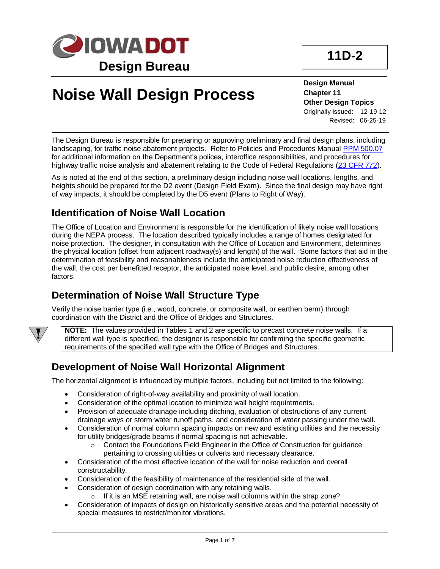

# **Noise Wall Design Process**

**Design Manual Chapter 11 Other Design Topics** Originally Issued: 12-19-12 Revised: 06-25-19

The Design Bureau is responsible for preparing or approving preliminary and final design plans, including landscaping, for traffic noise abatement projects. Refer to Policies and Procedures Manual [PPM 500.07](https://iadot.sharepoint.com/sites/AS/PolicyLegislative/DOT%20Policies%20and%20Procedures/500.07%20Highway%20Traffic%20Noise%20Analysis%20Abatement.pdf) for additional information on the Department's polices, interoffice responsibilities, and procedures for highway traffic noise analysis and abatement relating to the Code of Federal Regulations [\(23 CFR 772\)](https://www.ecfr.gov/cgi-bin/text-idx?SID=3280d8d65216b3da13d8c9dd59096b5c&mc=true&tpl=/ecfrbrowse/Title23/23cfr772_main_02.tpl).

As is noted at the end of this section, a preliminary design including noise wall locations, lengths, and heights should be prepared for the D2 event (Design Field Exam). Since the final design may have right of way impacts, it should be completed by the D5 event (Plans to Right of Way).

## **Identification of Noise Wall Location**

The Office of Location and Environment is responsible for the identification of likely noise wall locations during the NEPA process. The location described typically includes a range of homes designated for noise protection. The designer, in consultation with the Office of Location and Environment, determines the physical location (offset from adjacent roadway(s) and length) of the wall. Some factors that aid in the determination of feasibility and reasonableness include the anticipated noise reduction effectiveness of the wall, the cost per benefitted receptor, the anticipated noise level, and public desire, among other factors.

## **Determination of Noise Wall Structure Type**

Verify the noise barrier type (i.e., wood, concrete, or composite wall, or earthen berm) through coordination with the District and the Office of Bridges and Structures.



**NOTE:** The values provided in Tables 1 and 2 are specific to precast concrete noise walls. If a different wall type is specified, the designer is responsible for confirming the specific geometric requirements of the specified wall type with the Office of Bridges and Structures.

## **Development of Noise Wall Horizontal Alignment**

The horizontal alignment is influenced by multiple factors, including but not limited to the following:

- Consideration of right-of-way availability and proximity of wall location.
- Consideration of the optimal location to minimize wall height requirements.
- Provision of adequate drainage including ditching, evaluation of obstructions of any current drainage ways or storm water runoff paths, and consideration of water passing under the wall.
- Consideration of normal column spacing impacts on new and existing utilities and the necessity for utility bridges/grade beams if normal spacing is not achievable.
	- o Contact the Foundations Field Engineer in the Office of Construction for guidance pertaining to crossing utilities or culverts and necessary clearance.
- Consideration of the most effective location of the wall for noise reduction and overall constructability.
- Consideration of the feasibility of maintenance of the residential side of the wall.
- Consideration of design coordination with any retaining walls.
	- $\circ$  If it is an MSE retaining wall, are noise wall columns within the strap zone?
- Consideration of impacts of design on historically sensitive areas and the potential necessity of special measures to restrict/monitor vibrations.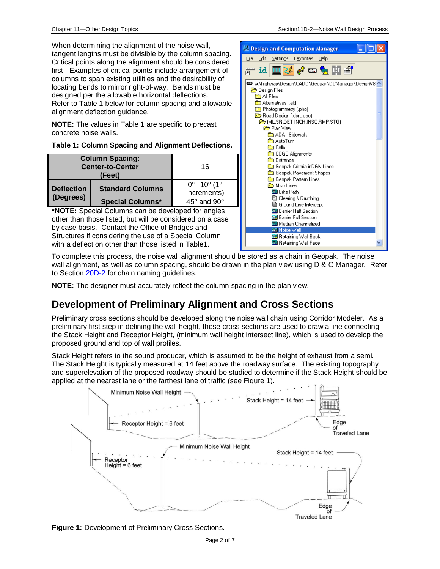When determining the alignment of the noise wall. tangent lengths must be divisible by the column spacing. Critical points along the alignment should be considered first. Examples of critical points include arrangement of columns to span existing utilities and the desirability of locating bends to mirror right-of-way. Bends must be designed per the allowable horizontal deflections. Refer to Table 1 below for column spacing and allowable alignment deflection guidance.

**NOTE:** The values in Table 1 are specific to precast concrete noise walls.

#### **Table 1: Column Spacing and Alignment Deflections.**

| <b>Column Spacing:</b><br><b>Center-to-Center</b><br>(Feet) |                         | 16                                                       |
|-------------------------------------------------------------|-------------------------|----------------------------------------------------------|
| <b>Deflection</b><br>(Degrees)                              | <b>Standard Columns</b> | $0^{\circ}$ - 10 $^{\circ}$ (1 $^{\circ}$<br>Increments) |
|                                                             | <b>Special Columns*</b> | $45^\circ$ and $90^\circ$                                |

**\*NOTE:** Special Columns can be developed for angles other than those listed, but will be considered on a case by case basis. Contact the Office of Bridges and Structures if considering the use of a Special Column with a deflection other than those listed in Table1.



To complete this process, the noise wall alignment should be stored as a chain in Geopak. The noise wall alignment, as well as column spacing, should be drawn in the plan view using D & C Manager. Refer to Section [20D-2](20d-02.pdf) for chain naming guidelines.

**NOTE:** The designer must accurately reflect the column spacing in the plan view.

## **Development of Preliminary Alignment and Cross Sections**

Preliminary cross sections should be developed along the noise wall chain using Corridor Modeler. As a preliminary first step in defining the wall height, these cross sections are used to draw a line connecting the Stack Height and Receptor Height, (minimum wall height intersect line), which is used to develop the proposed ground and top of wall profiles.

Stack Height refers to the sound producer, which is assumed to be the height of exhaust from a semi. The Stack Height is typically measured at 14 feet above the roadway surface. The existing topography and superelevation of the proposed roadway should be studied to determine if the Stack Height should be applied at the nearest lane or the farthest lane of traffic (see Figure 1).



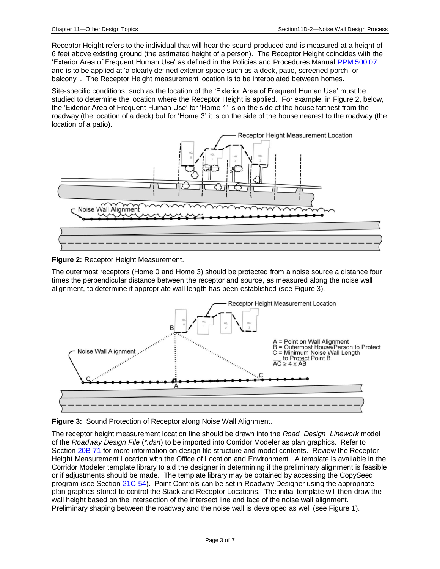Receptor Height refers to the individual that will hear the sound produced and is measured at a height of 6 feet above existing ground (the estimated height of a person). The Receptor Height coincides with the 'Exterior Area of Frequent Human Use' as defined in the Policies and Procedures Manual [PPM 500.07](https://iadot.sharepoint.com/sites/AS/PolicyLegislative/DOT%20Policies%20and%20Procedures/500.07%20Highway%20Traffic%20Noise%20Analysis%20Abatement.pdf) and is to be applied at 'a clearly defined exterior space such as a deck, patio, screened porch, or balcony'.. The Receptor Height measurement location is to be interpolated between homes.

Site-specific conditions, such as the location of the 'Exterior Area of Frequent Human Use' must be studied to determine the location where the Receptor Height is applied. For example, in Figure 2, below, the 'Exterior Area of Frequent Human Use' for 'Home 1' is on the side of the house farthest from the roadway (the location of a deck) but for 'Home 3' it is on the side of the house nearest to the roadway (the location of a patio).



**Figure 2:** Receptor Height Measurement.

The outermost receptors (Home 0 and Home 3) should be protected from a noise source a distance four times the perpendicular distance between the receptor and source, as measured along the noise wall alignment, to determine if appropriate wall length has been established (see Figure 3).



**Figure 3:** Sound Protection of Receptor along Noise Wall Alignment.

The receptor height measurement location line should be drawn into the *Road\_Design\_Linework* model of the *Roadway Design File* (*\*.dsn*) to be imported into Corridor Modeler as plan graphics. Refer to Section [20B-71](20b-71.pdf) for more information on design file structure and model contents. Review the Receptor Height Measurement Location with the Office of Location and Environment. A template is available in the Corridor Modeler template library to aid the designer in determining if the preliminary alignment is feasible or if adjustments should be made. The template library may be obtained by accessing the CopySeed program (see Section [21C-54\)](21c-54.pdf). Point Controls can be set in Roadway Designer using the appropriate plan graphics stored to control the Stack and Receptor Locations. The initial template will then draw the wall height based on the intersection of the intersect line and face of the noise wall alignment. Preliminary shaping between the roadway and the noise wall is developed as well (see Figure 1).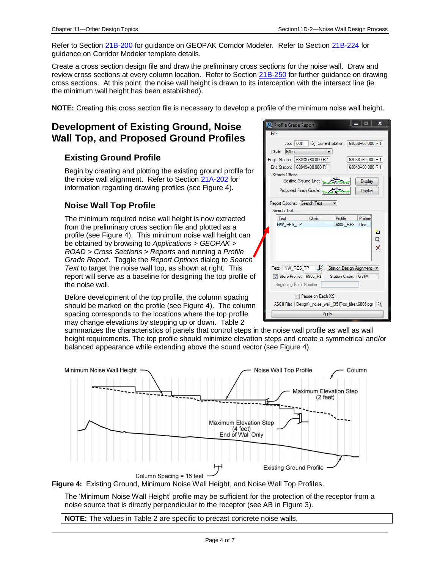Refer to Section [21B-200](21b-200.pdf) for guidance on GEOPAK Corridor Modeler. Refer to Sectio[n 21B-224](21b-224.pdf) for guidance on Corridor Modeler template details.

Create a cross section design file and draw the preliminary cross sections for the noise wall. Draw and review cross sections at every column location. Refer to Section [21B-250](21b-250.pdf) for further guidance on drawing cross sections. At this point, the noise wall height is drawn to its interception with the intersect line (ie. the minimum wall height has been established).

**NOTE:** Creating this cross section file is necessary to develop a profile of the minimum noise wall height.

## **Development of Existing Ground, Noise Wall Top, and Proposed Ground Profiles**

#### **Existing Ground Profile**

Begin by creating and plotting the existing ground profile for the noise wall alignment. Refer to Section [21A-202](21a-202.pdf) for information regarding drawing profiles (see Figure 4).

### **Noise Wall Top Profile**

The minimum required noise wall height is now extracted from the preliminary cross section file and plotted as a profile (see Figure 4). This minimum noise wall height can be obtained by browsing to *Applications > GEOPAK > ROAD > Cross Sections > Reports* and running a *Profile Grade Report*. Toggle the *Report Options* dialog to *Search Text* to target the noise wall top, as shown at right. This report will serve as a baseline for designing the top profile of the noise wall.

Before development of the top profile, the column spacing should be marked on the profile (see Figure 4). The column spacing corresponds to the locations where the top profile may change elevations by stepping up or down. Table 2

summarizes the characteristics of panels that control steps in the noise wall profile as well as wall height requirements. The top profile should minimize elevation steps and create a symmetrical and/or balanced appearance while extending above the sound vector (see Figure 4).



**Figure 4:** Existing Ground, Minimum Noise Wall Height, and Noise Wall Top Profiles.

The 'Minimum Noise Wall Height' profile may be sufficient for the protection of the receptor from a noise source that is directly perpendicular to the receptor (see AB in Figure 3).

**NOTE:** The values in Table 2 are specific to precast concrete noise walls.

|                 | Job: 008   Q Current Station: 68038+60.000 R 1           |         |                  |                         |
|-----------------|----------------------------------------------------------|---------|------------------|-------------------------|
| Chain: 6805     |                                                          |         |                  |                         |
|                 | Begin Station: 68038+60.000 R 1                          |         | 68038+60.000 R 1 |                         |
|                 | End Station: 68049+90.000 R 1                            |         | 68049+90.000 R 1 |                         |
| Search Criteria |                                                          |         |                  |                         |
|                 | Existing Ground Line:                                    |         | Display          |                         |
|                 | Proposed Finish Grade:                                   |         | Display          |                         |
|                 |                                                          |         |                  |                         |
|                 | Report Options: Search Text                              |         |                  |                         |
| Search Text     |                                                          |         |                  |                         |
| Text            | Chain                                                    | Profile | Prefere          |                         |
| NW_RES_TP       |                                                          |         | 6805 RES Des     |                         |
|                 |                                                          |         |                  | O                       |
|                 |                                                          |         |                  |                         |
|                 |                                                          |         |                  | $\overline{\mathbf{Q}}$ |
|                 |                                                          |         |                  |                         |
|                 |                                                          |         |                  | $\times$                |
|                 |                                                          |         |                  |                         |
|                 | Text: NW_RES_TP & Station Design Alignment               |         |                  |                         |
|                 | Store Profile: 6805 RE Station Chain: G36A               |         |                  |                         |
|                 |                                                          |         |                  |                         |
|                 | Beginning Point Number:                                  |         |                  |                         |
|                 | Pause on Each XS                                         |         |                  |                         |
|                 | ASCII File: Design\_noise_wall_(351)\xs_files\6805.pgr Q |         |                  |                         |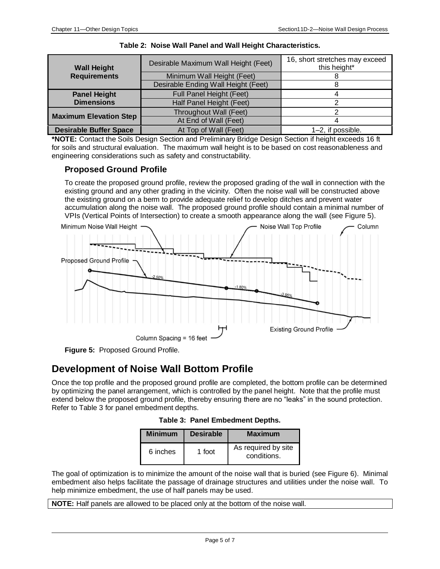| <b>Wall Height</b>                                     | Desirable Maximum Wall Height (Feet) | 16, short stretches may exceed<br>this height* |
|--------------------------------------------------------|--------------------------------------|------------------------------------------------|
| <b>Requirements</b>                                    | Minimum Wall Height (Feet)           |                                                |
|                                                        | Desirable Ending Wall Height (Feet)  |                                                |
| <b>Panel Height</b>                                    | Full Panel Height (Feet)             |                                                |
| <b>Dimensions</b>                                      | Half Panel Height (Feet)             |                                                |
|                                                        | Throughout Wall (Feet)               |                                                |
| <b>Maximum Elevation Step</b>                          | At End of Wall (Feet)                |                                                |
| <b>Desirable Buffer Space</b><br>At Top of Wall (Feet) |                                      | 1–2, if possible.                              |

|  |  | Table 2: Noise Wall Panel and Wall Height Characteristics. |
|--|--|------------------------------------------------------------|
|  |  |                                                            |

**\*NOTE:** Contact the Soils Design Section and Preliminary Bridge Design Section if height exceeds 16 ft for soils and structural evaluation. The maximum wall height is to be based on cost reasonableness and engineering considerations such as safety and constructability.

### **Proposed Ground Profile**

To create the proposed ground profile, review the proposed grading of the wall in connection with the existing ground and any other grading in the vicinity. Often the noise wall will be constructed above the existing ground on a berm to provide adequate relief to develop ditches and prevent water accumulation along the noise wall. The proposed ground profile should contain a minimal number of VPIs (Vertical Points of Intersection) to create a smooth appearance along the wall (see Figure 5).



**Figure 5:** Proposed Ground Profile.

## **Development of Noise Wall Bottom Profile**

Once the top profile and the proposed ground profile are completed, the bottom profile can be determined by optimizing the panel arrangement, which is controlled by the panel height. Note that the profile must extend below the proposed ground profile, thereby ensuring there are no "leaks" in the sound protection. Refer to Table 3 for panel embedment depths.

| <b>Minimum</b> | <b>Desirable</b> | <b>Maximum</b>                     |
|----------------|------------------|------------------------------------|
| 6 inches       | 1 foot           | As required by site<br>conditions. |

The goal of optimization is to minimize the amount of the noise wall that is buried (see Figure 6). Minimal embedment also helps facilitate the passage of drainage structures and utilities under the noise wall. To help minimize embedment, the use of half panels may be used.

**NOTE:** Half panels are allowed to be placed only at the bottom of the noise wall.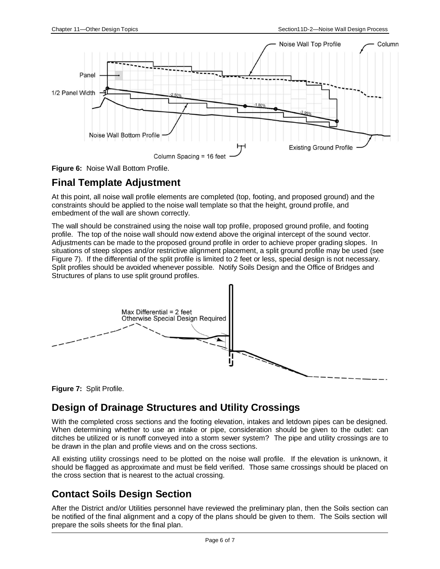



## **Final Template Adjustment**

At this point, all noise wall profile elements are completed (top, footing, and proposed ground) and the constraints should be applied to the noise wall template so that the height, ground profile, and embedment of the wall are shown correctly.

The wall should be constrained using the noise wall top profile, proposed ground profile, and footing profile. The top of the noise wall should now extend above the original intercept of the sound vector. Adjustments can be made to the proposed ground profile in order to achieve proper grading slopes. In situations of steep slopes and/or restrictive alignment placement, a split ground profile may be used (see Figure 7). If the differential of the split profile is limited to 2 feet or less, special design is not necessary. Split profiles should be avoided whenever possible. Notify Soils Design and the Office of Bridges and Structures of plans to use split ground profiles.



**Figure 7:** Split Profile.

## **Design of Drainage Structures and Utility Crossings**

With the completed cross sections and the footing elevation, intakes and letdown pipes can be designed. When determining whether to use an intake or pipe, consideration should be given to the outlet: can ditches be utilized or is runoff conveyed into a storm sewer system? The pipe and utility crossings are to be drawn in the plan and profile views and on the cross sections.

All existing utility crossings need to be plotted on the noise wall profile. If the elevation is unknown, it should be flagged as approximate and must be field verified. Those same crossings should be placed on the cross section that is nearest to the actual crossing.

## **Contact Soils Design Section**

After the District and/or Utilities personnel have reviewed the preliminary plan, then the Soils section can be notified of the final alignment and a copy of the plans should be given to them. The Soils section will prepare the soils sheets for the final plan.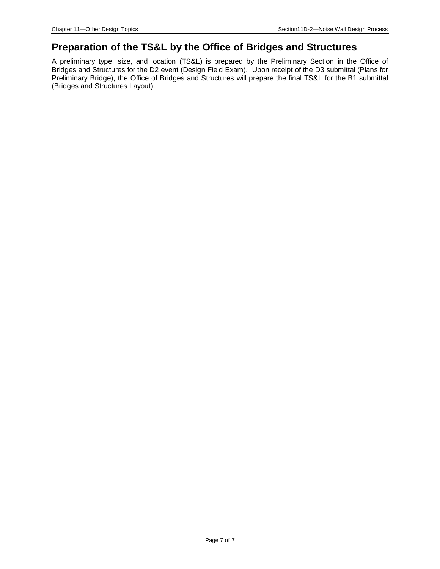### **Preparation of the TS&L by the Office of Bridges and Structures**

A preliminary type, size, and location (TS&L) is prepared by the Preliminary Section in the Office of Bridges and Structures for the D2 event (Design Field Exam). Upon receipt of the D3 submittal (Plans for Preliminary Bridge), the Office of Bridges and Structures will prepare the final TS&L for the B1 submittal (Bridges and Structures Layout).